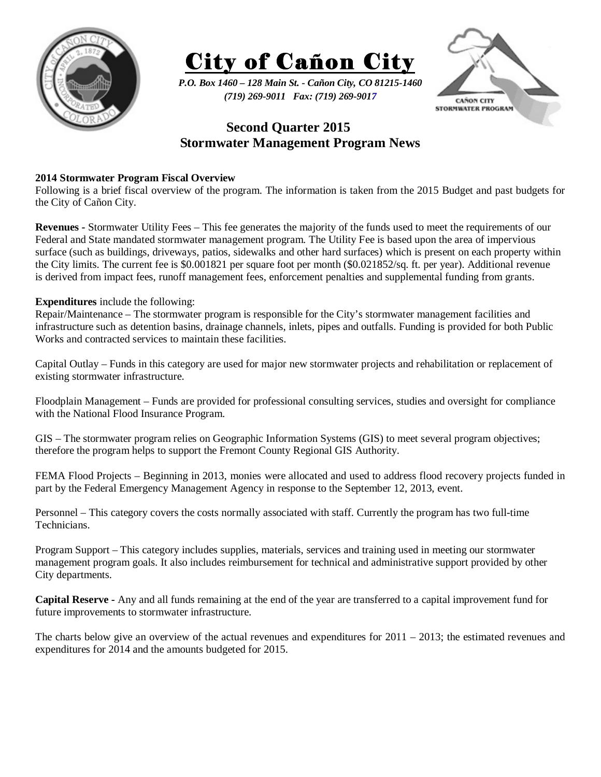



*P.O. Box 1460 – 128 Main St. - Cañon City, CO 81215-1460 (719) 269-9011 Fax: (719) 269-9017* 



## **Second Quarter 2015 Stormwater Management Program News**

## **2014 Stormwater Program Fiscal Overview**

Following is a brief fiscal overview of the program. The information is taken from the 2015 Budget and past budgets for the City of Cañon City.

**Revenues -** Stormwater Utility Fees – This fee generates the majority of the funds used to meet the requirements of our Federal and State mandated stormwater management program. The Utility Fee is based upon the area of impervious surface (such as buildings, driveways, patios, sidewalks and other hard surfaces) which is present on each property within the City limits. The current fee is \$0.001821 per square foot per month (\$0.021852/sq. ft. per year). Additional revenue is derived from impact fees, runoff management fees, enforcement penalties and supplemental funding from grants.

## **Expenditures** include the following:

Repair/Maintenance – The stormwater program is responsible for the City's stormwater management facilities and infrastructure such as detention basins, drainage channels, inlets, pipes and outfalls. Funding is provided for both Public Works and contracted services to maintain these facilities.

Capital Outlay – Funds in this category are used for major new stormwater projects and rehabilitation or replacement of existing stormwater infrastructure.

Floodplain Management – Funds are provided for professional consulting services, studies and oversight for compliance with the National Flood Insurance Program.

GIS – The stormwater program relies on Geographic Information Systems (GIS) to meet several program objectives; therefore the program helps to support the Fremont County Regional GIS Authority.

FEMA Flood Projects – Beginning in 2013, monies were allocated and used to address flood recovery projects funded in part by the Federal Emergency Management Agency in response to the September 12, 2013, event.

Personnel – This category covers the costs normally associated with staff. Currently the program has two full-time Technicians.

Program Support – This category includes supplies, materials, services and training used in meeting our stormwater management program goals. It also includes reimbursement for technical and administrative support provided by other City departments.

**Capital Reserve -** Any and all funds remaining at the end of the year are transferred to a capital improvement fund for future improvements to stormwater infrastructure.

The charts below give an overview of the actual revenues and expenditures for 2011 – 2013; the estimated revenues and expenditures for 2014 and the amounts budgeted for 2015.